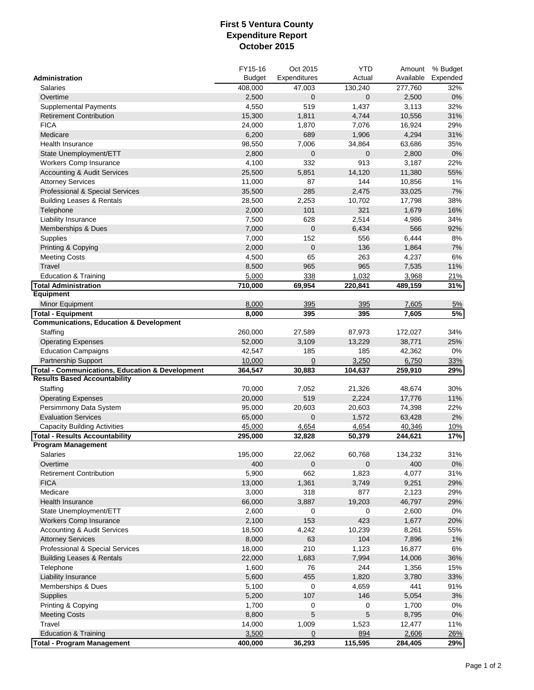## **First 5 Ventura County Expenditure Report October 2015**

|                                                            | FY15-16       | Oct 2015     | <b>YTD</b>  |           | Amount % Budget |
|------------------------------------------------------------|---------------|--------------|-------------|-----------|-----------------|
| Administration                                             | <b>Budget</b> | Expenditures | Actual      | Available | Expended        |
| <b>Salaries</b>                                            | 408,000       | 47,003       | 130,240     | 277,760   | 32%             |
| Overtime                                                   | 2,500         | 0            | $\mathbf 0$ | 2,500     | $0\%$           |
| <b>Supplemental Payments</b>                               | 4,550         | 519          | 1,437       | 3,113     | 32%             |
| <b>Retirement Contribution</b>                             | 15,300        | 1,811        | 4,744       | 10,556    | 31%             |
| <b>FICA</b>                                                | 24,000        | 1,870        | 7,076       | 16,924    | 29%             |
| Medicare                                                   | 6,200         | 689          | 1,906       | 4,294     | 31%             |
| <b>Health Insurance</b>                                    | 98,550        | 7,006        | 34,864      | 63,686    | 35%             |
| State Unemployment/ETT                                     | 2,800         | $\mathbf 0$  | $\mathbf 0$ | 2,800     | $0\%$           |
| Workers Comp Insurance                                     | 4,100         | 332          | 913         | 3,187     | 22%             |
| <b>Accounting &amp; Audit Services</b>                     | 25,500        | 5,851        | 14,120      | 11,380    | 55%             |
| <b>Attorney Services</b>                                   | 11,000        | 87           | 144         | 10,856    | 1%              |
| Professional & Special Services                            | 35,500        | 285          | 2,475       | 33,025    | $7\%$           |
| <b>Building Leases &amp; Rentals</b>                       | 28,500        | 2,253        | 10,702      | 17,798    | 38%             |
| Telephone                                                  | 2,000         | 101          | 321         | 1,679     | 16%             |
| Liability Insurance                                        | 7,500         | 628          | 2,514       | 4,986     | 34%             |
| Memberships & Dues                                         | 7,000         | 0            | 6,434       | 566       | 92%             |
| Supplies                                                   | 7,000         | 152          | 556         | 6,444     | 8%              |
| Printing & Copying                                         | 2,000         | $\pmb{0}$    | 136         | 1,864     | 7%              |
| <b>Meeting Costs</b>                                       | 4,500         | 65           | 263         | 4,237     | 6%              |
| Travel                                                     | 8,500         | 965          | 965         | 7,535     | 11%             |
| <b>Education &amp; Training</b>                            | 5,000         | 338          | 1,032       | 3,968     | 21%             |
| Total Administration                                       | 710,000       | 69,954       | 220,841     | 489,159   | 31%             |
| <b>Equipment</b>                                           |               |              |             |           |                 |
| Minor Equipment                                            | 8,000         | 395          | 395         | 7,605     | 5%              |
| <b>Total - Equipment</b>                                   | 8,000         | 395          | 395         | 7,605     | 5%              |
| <b>Communications, Education &amp; Development</b>         |               |              |             |           |                 |
| Staffing                                                   | 260,000       | 27,589       | 87,973      | 172,027   | 34%             |
| <b>Operating Expenses</b>                                  | 52,000        | 3,109        | 13,229      | 38,771    | 25%             |
| <b>Education Campaigns</b>                                 | 42,547        | 185          | 185         | 42,362    | 0%              |
| Partnership Support                                        | 10,000        | $\mathbf 0$  | 3,250       | 6,750     | 33%             |
| <b>Total - Communications, Education &amp; Development</b> | 364,547       | 30,883       | 104,637     | 259,910   | 29%             |
| <b>Results Based Accountability</b>                        |               |              |             |           |                 |
| Staffing                                                   | 70,000        | 7,052        | 21,326      | 48,674    | 30%             |
| <b>Operating Expenses</b>                                  | 20,000        | 519          | 2,224       | 17,776    | 11%             |
| Persimmony Data System                                     | 95,000        | 20,603       | 20,603      | 74,398    | 22%             |
| <b>Evaluation Services</b>                                 | 65,000        | 0            | 1,572       | 63,428    | 2%              |
| <b>Capacity Building Activities</b>                        | 45,000        | 4,654        | 4,654       | 40,346    | <u>10%</u>      |
| <b>Total - Results Accountability</b>                      | 295,000       | 32,828       | 50,379      | 244,621   | 17%             |
| <b>Program Management</b>                                  |               |              |             |           |                 |
| <b>Salaries</b>                                            | 195,000       | 22.062       | 60,768      | 134,232   | 31%             |
| Overtime                                                   | 400           | $\mathbf 0$  | $\mathbf 0$ | 400       | 0%              |
| <b>Retirement Contribution</b>                             | 5,900         | 662          | 1,823       | 4,077     | 31%             |
| <b>FICA</b>                                                | 13,000        | 1,361        | 3,749       | 9,251     | 29%             |
| Medicare                                                   | 3,000         | 318          | 877         | 2,123     | 29%             |
| <b>Health Insurance</b>                                    | 66,000        | 3,887        | 19,203      | 46,797    | 29%             |
| State Unemployment/ETT                                     | 2,600         | 0            | 0           | 2,600     | 0%              |
| <b>Workers Comp Insurance</b>                              | 2,100         | 153          | 423         | 1,677     | 20%             |
| <b>Accounting &amp; Audit Services</b>                     | 18,500        | 4,242        | 10,239      | 8,261     | 55%             |
| <b>Attorney Services</b>                                   | 8,000         | 63           | 104         | 7,896     | 1%              |
| Professional & Special Services                            | 18,000        | 210          | 1,123       | 16,877    | 6%              |
| <b>Building Leases &amp; Rentals</b>                       | 22,000        | 1,683        | 7,994       | 14,006    | 36%             |
| Telephone                                                  | 1,600         | 76           | 244         | 1,356     | 15%             |
| Liability Insurance                                        | 5,600         | 455          | 1,820       | 3,780     | 33%             |
| Memberships & Dues                                         | 5,100         | 0            | 4,659       | 441       | 91%             |
| Supplies                                                   | 5,200         | 107          | 146         | 5,054     | 3%              |
| Printing & Copying                                         | 1,700         | 0            | 0           | 1,700     | 0%              |
| <b>Meeting Costs</b>                                       | 8,800         | 5            | 5           | 8,795     | $0\%$           |
| Travel                                                     | 14,000        | 1,009        | 1,523       | 12,477    | 11%             |
| <b>Education &amp; Training</b>                            | 3,500         | 0            | 894         | 2,606     | 26%             |
| Total - Program Management                                 | 400,000       | 36,293       | 115,595     | 284,405   | 29%             |